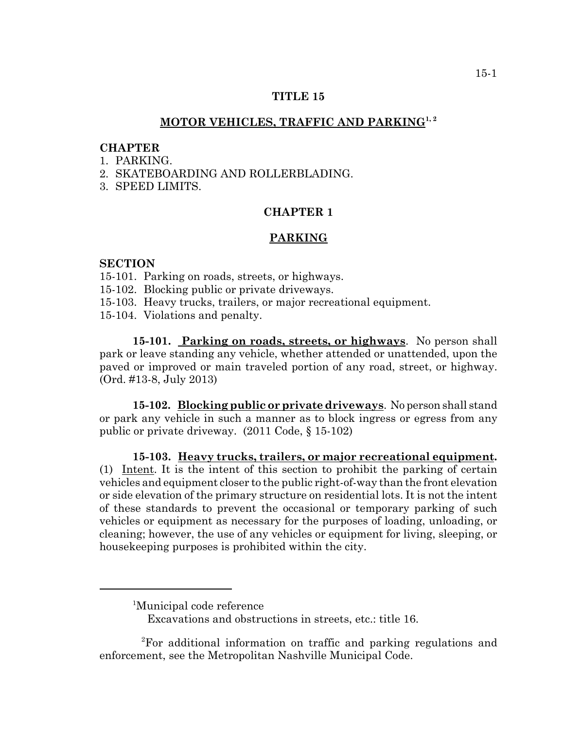## **TITLE 15**

# **MOTOR VEHICLES, TRAFFIC AND PARKING1, 2**

#### **CHAPTER**

- 1. PARKING.
- 2. SKATEBOARDING AND ROLLERBLADING.
- 3. SPEED LIMITS.

## **CHAPTER 1**

#### **PARKING**

#### **SECTION**

- 15-101. Parking on roads, streets, or highways.
- 15-102. Blocking public or private driveways.
- 15-103. Heavy trucks, trailers, or major recreational equipment.
- 15-104. Violations and penalty.

**15-101. Parking on roads, streets, or highways**. No person shall park or leave standing any vehicle, whether attended or unattended, upon the paved or improved or main traveled portion of any road, street, or highway. (Ord. #13-8, July 2013)

**15-102. Blocking public or private driveways**. No person shall stand or park any vehicle in such a manner as to block ingress or egress from any public or private driveway. (2011 Code, § 15-102)

**15-103. Heavy trucks, trailers, or major recreational equipment.** (1) Intent. It is the intent of this section to prohibit the parking of certain vehicles and equipment closer to the public right-of-way than the front elevation or side elevation of the primary structure on residential lots. It is not the intent of these standards to prevent the occasional or temporary parking of such vehicles or equipment as necessary for the purposes of loading, unloading, or cleaning; however, the use of any vehicles or equipment for living, sleeping, or housekeeping purposes is prohibited within the city.

<sup>&</sup>lt;sup>1</sup>Municipal code reference

Excavations and obstructions in streets, etc.: title 16.

<sup>2</sup> For additional information on traffic and parking regulations and enforcement, see the Metropolitan Nashville Municipal Code.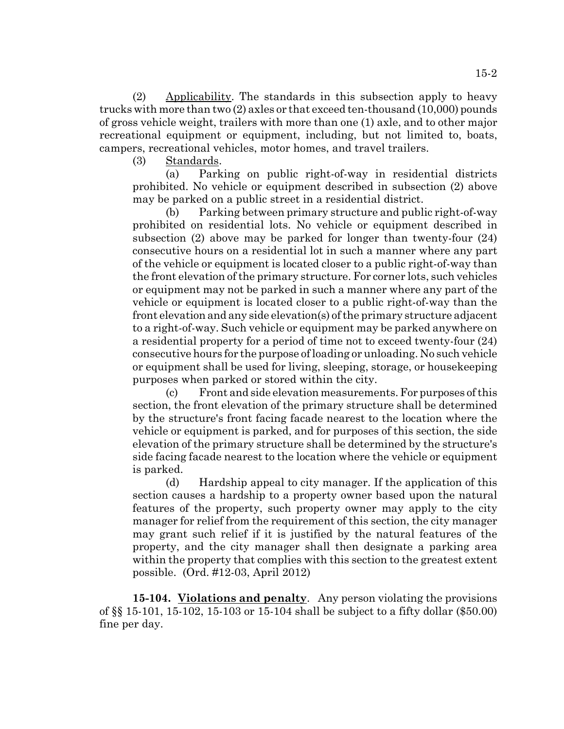(2) Applicability. The standards in this subsection apply to heavy trucks with more than two (2) axles or that exceed ten-thousand (10,000) pounds of gross vehicle weight, trailers with more than one (1) axle, and to other major recreational equipment or equipment, including, but not limited to, boats, campers, recreational vehicles, motor homes, and travel trailers.

(3) Standards.

(a) Parking on public right-of-way in residential districts prohibited. No vehicle or equipment described in subsection (2) above may be parked on a public street in a residential district.

(b) Parking between primary structure and public right-of-way prohibited on residential lots. No vehicle or equipment described in subsection (2) above may be parked for longer than twenty-four (24) consecutive hours on a residential lot in such a manner where any part of the vehicle or equipment is located closer to a public right-of-way than the front elevation of the primary structure. For corner lots, such vehicles or equipment may not be parked in such a manner where any part of the vehicle or equipment is located closer to a public right-of-way than the front elevation and any side elevation(s) of the primary structure adjacent to a right-of-way. Such vehicle or equipment may be parked anywhere on a residential property for a period of time not to exceed twenty-four (24) consecutive hours for the purpose of loading or unloading. No such vehicle or equipment shall be used for living, sleeping, storage, or housekeeping purposes when parked or stored within the city.

(c) Front and side elevation measurements. For purposes of this section, the front elevation of the primary structure shall be determined by the structure's front facing facade nearest to the location where the vehicle or equipment is parked, and for purposes of this section, the side elevation of the primary structure shall be determined by the structure's side facing facade nearest to the location where the vehicle or equipment is parked.

(d) Hardship appeal to city manager. If the application of this section causes a hardship to a property owner based upon the natural features of the property, such property owner may apply to the city manager for relief from the requirement of this section, the city manager may grant such relief if it is justified by the natural features of the property, and the city manager shall then designate a parking area within the property that complies with this section to the greatest extent possible. (Ord. #12-03, April 2012)

**15-104. Violations and penalty**. Any person violating the provisions of §§ 15-101, 15-102, 15-103 or 15-104 shall be subject to a fifty dollar (\$50.00) fine per day.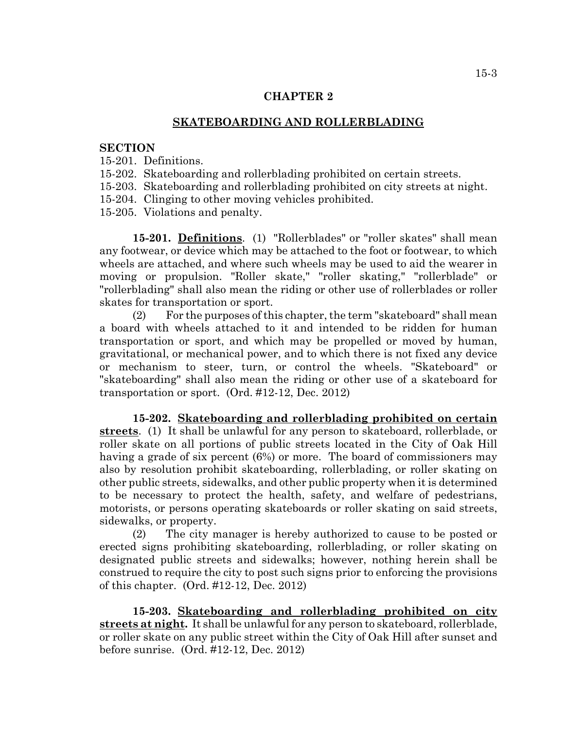## **CHAPTER 2**

### **SKATEBOARDING AND ROLLERBLADING**

#### **SECTION**

- 15-201. Definitions.
- 15-202. Skateboarding and rollerblading prohibited on certain streets.
- 15-203. Skateboarding and rollerblading prohibited on city streets at night.
- 15-204. Clinging to other moving vehicles prohibited.
- 15-205. Violations and penalty.

**15-201. Definitions**. (1) "Rollerblades" or "roller skates" shall mean any footwear, or device which may be attached to the foot or footwear, to which wheels are attached, and where such wheels may be used to aid the wearer in moving or propulsion. "Roller skate," "roller skating," "rollerblade" or "rollerblading" shall also mean the riding or other use of rollerblades or roller skates for transportation or sport.

(2) For the purposes of this chapter, the term "skateboard" shall mean a board with wheels attached to it and intended to be ridden for human transportation or sport, and which may be propelled or moved by human, gravitational, or mechanical power, and to which there is not fixed any device or mechanism to steer, turn, or control the wheels. "Skateboard" or "skateboarding" shall also mean the riding or other use of a skateboard for transportation or sport. (Ord. #12-12, Dec. 2012)

**15-202. Skateboarding and rollerblading prohibited on certain streets**. (1) It shall be unlawful for any person to skateboard, rollerblade, or roller skate on all portions of public streets located in the City of Oak Hill having a grade of six percent (6%) or more. The board of commissioners may also by resolution prohibit skateboarding, rollerblading, or roller skating on other public streets, sidewalks, and other public property when it is determined to be necessary to protect the health, safety, and welfare of pedestrians, motorists, or persons operating skateboards or roller skating on said streets, sidewalks, or property.

(2) The city manager is hereby authorized to cause to be posted or erected signs prohibiting skateboarding, rollerblading, or roller skating on designated public streets and sidewalks; however, nothing herein shall be construed to require the city to post such signs prior to enforcing the provisions of this chapter. (Ord. #12-12, Dec. 2012)

**15-203. Skateboarding and rollerblading prohibited on city streets at night.** It shall be unlawful for any person to skateboard, rollerblade, or roller skate on any public street within the City of Oak Hill after sunset and before sunrise. (Ord. #12-12, Dec. 2012)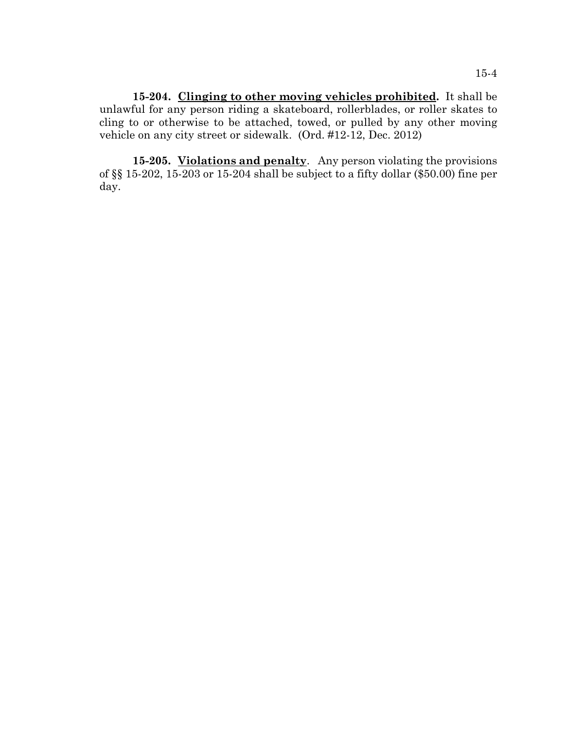**15-204. Clinging to other moving vehicles prohibited.** It shall be unlawful for any person riding a skateboard, rollerblades, or roller skates to cling to or otherwise to be attached, towed, or pulled by any other moving vehicle on any city street or sidewalk. (Ord. #12-12, Dec. 2012)

**15-205. Violations and penalty**. Any person violating the provisions of §§ 15-202, 15-203 or 15-204 shall be subject to a fifty dollar (\$50.00) fine per day.